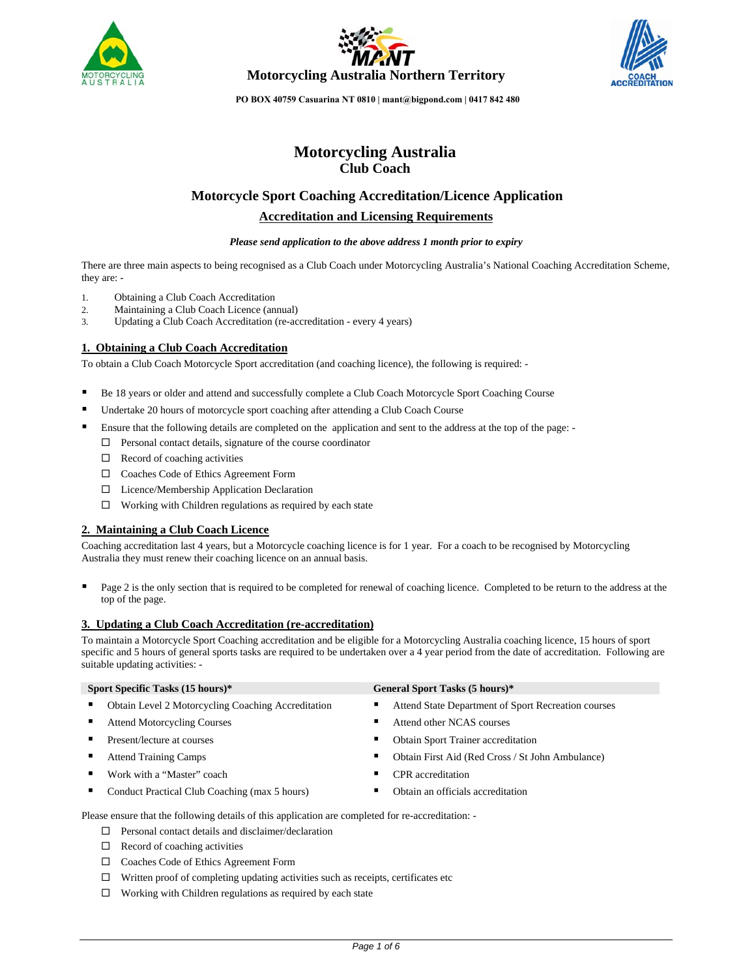





# **Motorcycling Australia Club Coach**

# **Motorcycle Sport Coaching Accreditation/Licence Application**

# **Accreditation and Licensing Requirements**

### *Please send application to the above address 1 month prior to expiry*

There are three main aspects to being recognised as a Club Coach under Motorcycling Australia's National Coaching Accreditation Scheme, they are: -

- 1. Obtaining a Club Coach Accreditation
- 2. Maintaining a Club Coach Licence (annual)
- 3. Updating a Club Coach Accreditation (re-accreditation every 4 years)

### **1. Obtaining a Club Coach Accreditation**

To obtain a Club Coach Motorcycle Sport accreditation (and coaching licence), the following is required: -

- Be 18 years or older and attend and successfully complete a Club Coach Motorcycle Sport Coaching Course
- Undertake 20 hours of motorcycle sport coaching after attending a Club Coach Course
- Ensure that the following details are completed on the application and sent to the address at the top of the page:
	- $\square$  Personal contact details, signature of the course coordinator
	- $\Box$  Record of coaching activities
	- Coaches Code of Ethics Agreement Form
	- □ Licence/Membership Application Declaration
	- $\Box$  Working with Children regulations as required by each state

### **2. Maintaining a Club Coach Licence**

Coaching accreditation last 4 years, but a Motorcycle coaching licence is for 1 year. For a coach to be recognised by Motorcycling Australia they must renew their coaching licence on an annual basis.

 Page 2 is the only section that is required to be completed for renewal of coaching licence. Completed to be return to the address at the top of the page.

### **3. Updating a Club Coach Accreditation (re-accreditation)**

To maintain a Motorcycle Sport Coaching accreditation and be eligible for a Motorcycling Australia coaching licence, 15 hours of sport specific and 5 hours of general sports tasks are required to be undertaken over a 4 year period from the date of accreditation. Following are suitable updating activities: -

| Sport Specific Tasks (15 hours)*                          | General Sport Tasks (5 hours)*                        |  |  |
|-----------------------------------------------------------|-------------------------------------------------------|--|--|
| <b>Obtain Level 2 Motorcycling Coaching Accreditation</b> | Attend State Department of Sport Recreation courses   |  |  |
| <b>Attend Motorcycling Courses</b>                        | Attend other NCAS courses<br>■                        |  |  |
| Present/lecture at courses                                | <b>Obtain Sport Trainer accreditation</b><br>п        |  |  |
| <b>Attend Training Camps</b>                              | Obtain First Aid (Red Cross / St John Ambulance)<br>п |  |  |
| Work with a "Master" coach                                | CPR accreditation<br>п                                |  |  |
| Conduct Practical Club Coaching (max 5 hours)             | Obtain an officials accreditation                     |  |  |
|                                                           |                                                       |  |  |

Please ensure that the following details of this application are completed for re-accreditation: -

- $\square$  Personal contact details and disclaimer/declaration
- $\Box$  Record of coaching activities
- Coaches Code of Ethics Agreement Form
- $\Box$  Written proof of completing updating activities such as receipts, certificates etc
- $\Box$  Working with Children regulations as required by each state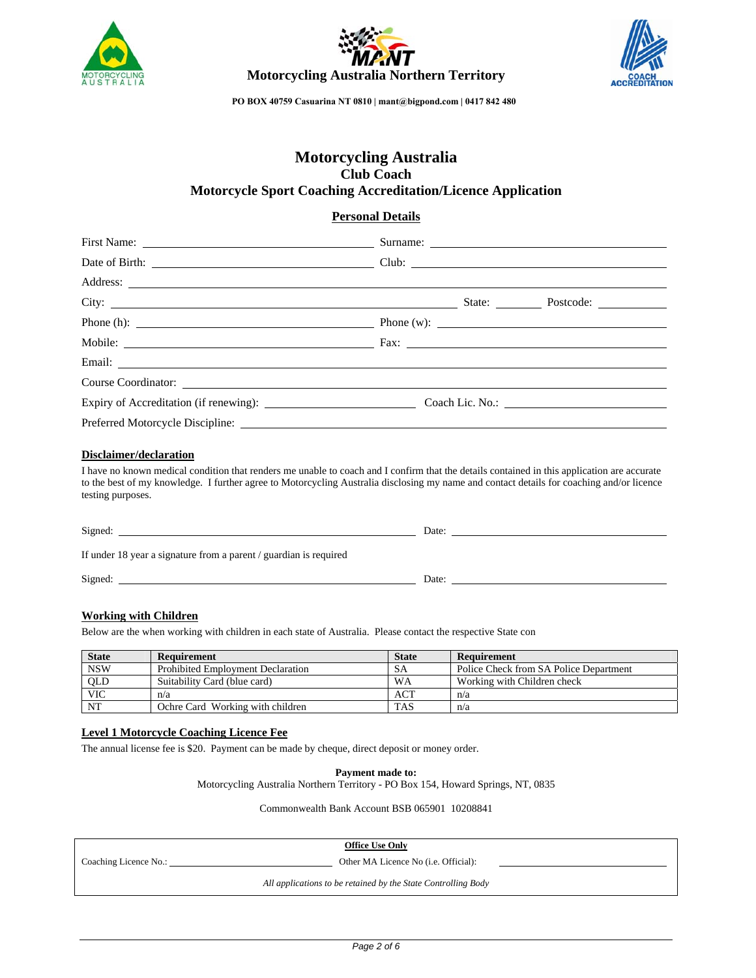





# **Motorcycling Australia Club Coach Motorcycle Sport Coaching Accreditation/Licence Application**

### **Personal Details**

| Address:                                                                         |  |  |
|----------------------------------------------------------------------------------|--|--|
|                                                                                  |  |  |
| Phone (h): $\qquad \qquad$ Phone (w): $\qquad \qquad$ Phone (w): $\qquad \qquad$ |  |  |
|                                                                                  |  |  |
|                                                                                  |  |  |
| Course Coordinator:                                                              |  |  |
|                                                                                  |  |  |
|                                                                                  |  |  |

### **Disclaimer/declaration**

I have no known medical condition that renders me unable to coach and I confirm that the details contained in this application are accurate to the best of my knowledge. I further agree to Motorcycling Australia disclosing my name and contact details for coaching and/or licence testing purposes.

| Signed:                                                           | Date: |  |
|-------------------------------------------------------------------|-------|--|
| If under 18 year a signature from a parent / guardian is required |       |  |
| Signed:                                                           | Date: |  |

### **Working with Children**

Below are the when working with children in each state of Australia. Please contact the respective State con

| <b>State</b> | Requirement                              | <b>State</b> | Requirement                            |
|--------------|------------------------------------------|--------------|----------------------------------------|
| <b>NSW</b>   | <b>Prohibited Employment Declaration</b> | SA           | Police Check from SA Police Department |
| QLD          | Suitability Card (blue card)             | WA           | Working with Children check            |
| <b>VIC</b>   | n/a                                      | ACT          | n/a                                    |
| NT           | Ochre Card Working with children         | <b>TAS</b>   | n/a                                    |

### **Level 1 Motorcycle Coaching Licence Fee**

The annual license fee is \$20. Payment can be made by cheque, direct deposit or money order.

**Payment made to:** 

Motorcycling Australia Northern Territory - PO Box 154, Howard Springs, NT, 0835

Commonwealth Bank Account BSB 065901 10208841

**Office Use Only**

Coaching Licence No.: Other MA Licence No (i.e. Official):

*All applications to be retained by the State Controlling Body*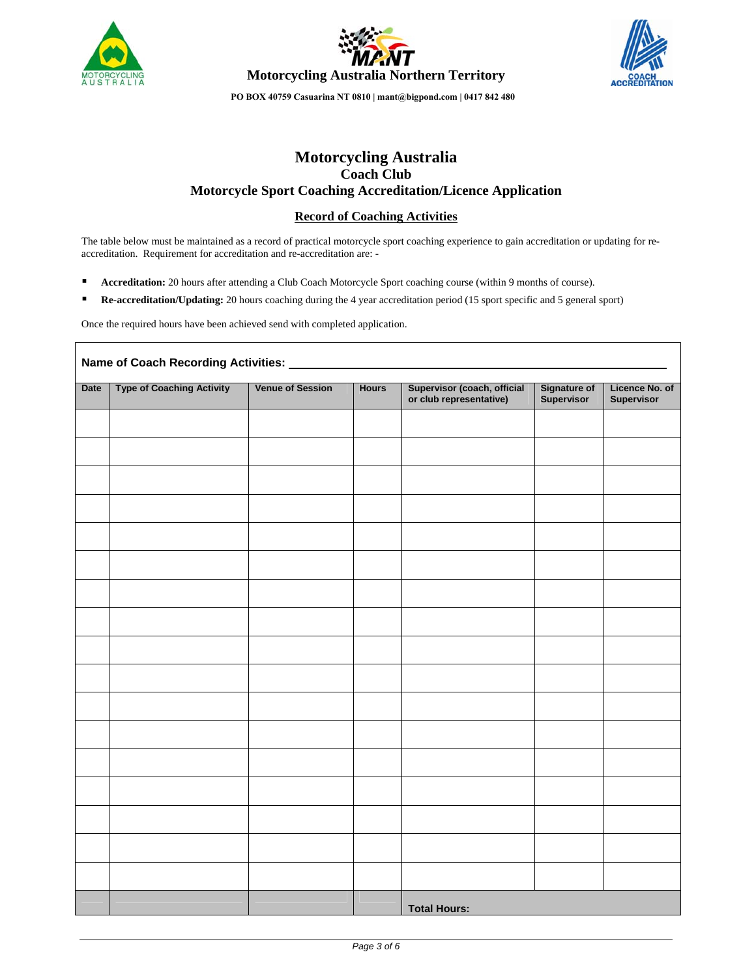





**Motorcycling Australia Coach Club Motorcycle Sport Coaching Accreditation/Licence Application** 

# **Record of Coaching Activities**

The table below must be maintained as a record of practical motorcycle sport coaching experience to gain accreditation or updating for reaccreditation. Requirement for accreditation and re-accreditation are: -

- **Accreditation:** 20 hours after attending a Club Coach Motorcycle Sport coaching course (within 9 months of course).
- **Re-accreditation/Updating:** 20 hours coaching during the 4 year accreditation period (15 sport specific and 5 general sport)

Once the required hours have been achieved send with completed application.

| Name of Coach Recording Activities: |                                  |                         |              |                                                        |                                   |                              |  |
|-------------------------------------|----------------------------------|-------------------------|--------------|--------------------------------------------------------|-----------------------------------|------------------------------|--|
| <b>Date</b>                         | <b>Type of Coaching Activity</b> | <b>Venue of Session</b> | <b>Hours</b> | Supervisor (coach, official<br>or club representative) | <b>Signature of</b><br>Supervisor | Licence No. of<br>Supervisor |  |
|                                     |                                  |                         |              |                                                        |                                   |                              |  |
|                                     |                                  |                         |              |                                                        |                                   |                              |  |
|                                     |                                  |                         |              |                                                        |                                   |                              |  |
|                                     |                                  |                         |              |                                                        |                                   |                              |  |
|                                     |                                  |                         |              |                                                        |                                   |                              |  |
|                                     |                                  |                         |              |                                                        |                                   |                              |  |
|                                     |                                  |                         |              |                                                        |                                   |                              |  |
|                                     |                                  |                         |              |                                                        |                                   |                              |  |
|                                     |                                  |                         |              |                                                        |                                   |                              |  |
|                                     |                                  |                         |              |                                                        |                                   |                              |  |
|                                     |                                  |                         |              |                                                        |                                   |                              |  |
|                                     |                                  |                         |              |                                                        |                                   |                              |  |
|                                     |                                  |                         |              |                                                        |                                   |                              |  |
|                                     |                                  |                         |              |                                                        |                                   |                              |  |
|                                     |                                  |                         |              |                                                        |                                   |                              |  |
|                                     |                                  |                         |              |                                                        |                                   |                              |  |
|                                     |                                  |                         |              |                                                        |                                   |                              |  |
|                                     |                                  |                         |              | <b>Total Hours:</b>                                    |                                   |                              |  |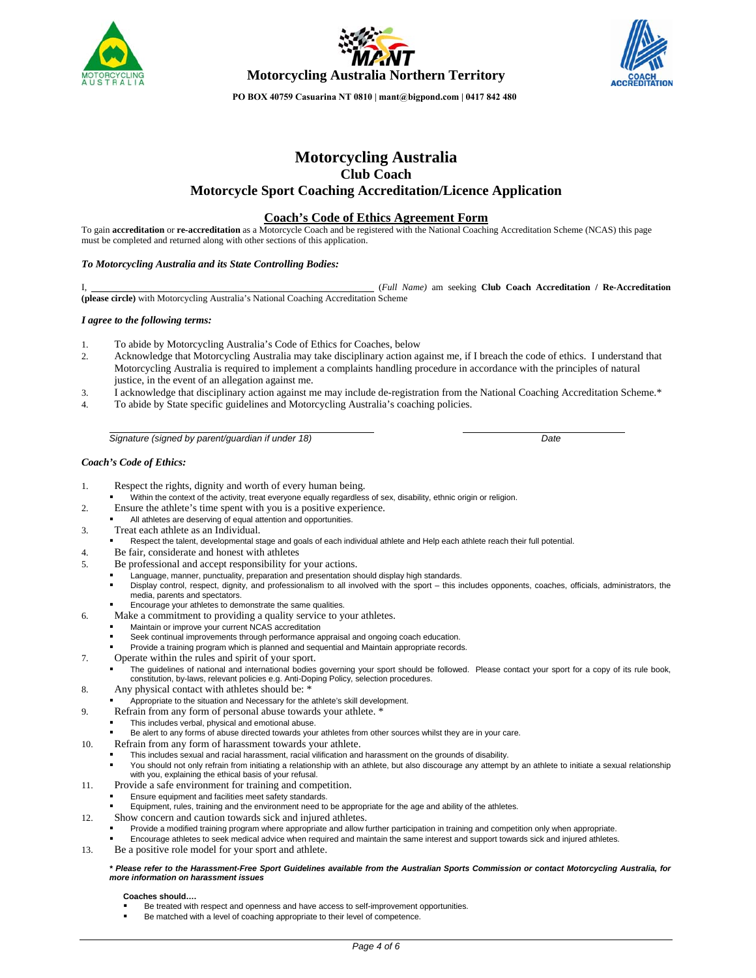





# **Motorcycling Australia Club Coach Motorcycle Sport Coaching Accreditation/Licence Application**

### **Coach's Code of Ethics Agreement Form**

To gain **accreditation** or **re-accreditation** as a Motorcycle Coach and be registered with the National Coaching Accreditation Scheme (NCAS) this page must be completed and returned along with other sections of this application.

### *To Motorcycling Australia and its State Controlling Bodies:*

I, (*Full Name)* am seeking **Club Coach Accreditation / Re-Accreditation (please circle)** with Motorcycling Australia's National Coaching Accreditation Scheme

### *I agree to the following terms:*

- 1. To abide by Motorcycling Australia's Code of Ethics for Coaches, below
- 2. Acknowledge that Motorcycling Australia may take disciplinary action against me, if I breach the code of ethics. I understand that Motorcycling Australia is required to implement a complaints handling procedure in accordance with the principles of natural justice, in the event of an allegation against me.
- 3. I acknowledge that disciplinary action against me may include de-registration from the National Coaching Accreditation Scheme.\*
- 4. To abide by State specific guidelines and Motorcycling Australia's coaching policies.

*Signature (signed by parent/guardian if under 18) Date* 

### *Coach's Code of Ethics:*

- 1. Respect the rights, dignity and worth of every human being.
	- Within the context of the activity, treat everyone equally regardless of sex, disability, ethnic origin or religion.
- 2. Ensure the athlete's time spent with you is a positive experience.
- All athletes are deserving of equal attention and opportunities.
- 3. Treat each athlete as an Individual.
- Respect the talent, developmental stage and goals of each individual athlete and Help each athlete reach their full potential.
- 4. Be fair, considerate and honest with athletes
- 5. Be professional and accept responsibility for your actions.
	- Language, manner, punctuality, preparation and presentation should display high standards.
	- Display control, respect, dignity, and professionalism to all involved with the sport this includes opponents, coaches, officials, administrators, the media, parents and spectators.
		- Encourage your athletes to demonstrate the same qualities.
- 6. Make a commitment to providing a quality service to your athletes.
	- Maintain or improve your current NCAS accreditation
	- Seek continual improvements through performance appraisal and ongoing coach education.
	- Provide a training program which is planned and sequential and Maintain appropriate records.
- 7. Operate within the rules and spirit of your sport.
	- The guidelines of national and international bodies governing your sport should be followed. Please contact your sport for a copy of its rule book, constitution, by-laws, relevant policies e.g. Anti-Doping Policy, selection procedures.
- 8. Any physical contact with athletes should be:  $*$
- Appropriate to the situation and Necessary for the athlete's skill development.
- 9. Refrain from any form of personal abuse towards your athlete. \*
	- This includes verbal, physical and emotional abuse.
	- Be alert to any forms of abuse directed towards your athletes from other sources whilst they are in your care.
- 10. Refrain from any form of harassment towards your athlete.
	- This includes sexual and racial harassment, racial vilification and harassment on the grounds of disability.
		- You should not only refrain from initiating a relationship with an athlete, but also discourage any attempt by an athlete to initiate a sexual relationship with you, explaining the ethical basis of your refusal.
- 11. Provide a safe environment for training and competition.
	- Ensure equipment and facilities meet safety standards.
	- Equipment, rules, training and the environment need to be appropriate for the age and ability of the athletes.
- 12. Show concern and caution towards sick and injured athletes.
	- Provide a modified training program where appropriate and allow further participation in training and competition only when appropriate.
	- Encourage athletes to seek medical advice when required and maintain the same interest and support towards sick and injured athletes.
- 13. Be a positive role model for your sport and athlete.

#### *\* Please refer to the Harassment-Free Sport Guidelines available from the Australian Sports Commission or contact Motorcycling Australia, for more information on harassment issues*

### **Coaches should….**

- Be treated with respect and openness and have access to self-improvement opportunities.
- Be matched with a level of coaching appropriate to their level of competence.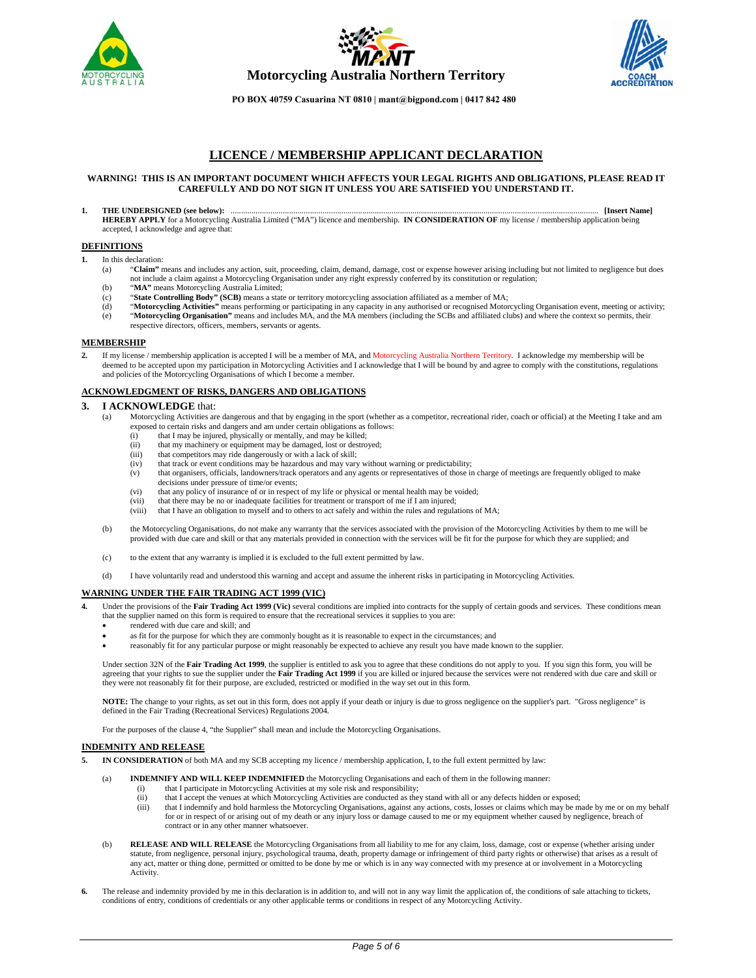





## **LICENCE / MEMBERSHIP APPLICANT DECLARATION**

#### **WARNING! THIS IS AN IMPORTANT DOCUMENT WHICH AFFECTS YOUR LEGAL RIGHTS AND OBLIGATIONS, PLEASE READ IT CAREFULLY AND DO NOT SIGN IT UNLESS YOU ARE SATISFIED YOU UNDERSTAND IT.**

**1. THE UNDERSIGNED (see below):** ................................................................................................................................................................................ **[Insert Name] HEREBY APPLY** for a Motorcycling Australia Limited ("MA") licence and membership. **IN CONSIDERATION OF** my license / membership application being accepted, I acknowledge and agree that:

#### **DEFINITIONS**

- **1.** In this declaration:
	- (a) "**Claim"** means and includes any action, suit, proceeding, claim, demand, damage, cost or expense however arising including but not limited to negligence but does not include a claim against a Motorcycling Organisation under any right expressly conferred by its constitution or regulation;
	-
	- (b) "**MA"** means Motorcycling Australia Limited; (c) "**State Controlling Body" (SCB)** means a state or territory motorcycling association affiliated as a member of MA;
	- (d) "**Motorcycling Activities"** means performing or participating in any capacity in any authorised or recognised Motorcycling Organisation event, meeting or activity;
	- (e) "**Motorcycling Organisation"** means and includes MA, and the MA members (including the SCBs and affiliated clubs) and where the context so permits, their respective directors, officers, members, servants or agents.

#### **MEMBERSHIP**

**2.** If my license / membership application is accepted I will be a member of MA, and Motorcycling Australia Northern Territory. I acknowledge my membership will be deemed to be accepted upon my participation in Motorcycling Activities and I acknowledge that I will be bound by and agree to comply with the constitutions, regulations and policies of the Motorcycling Organisations of which I become a member.

### **ACKNOWLEDGMENT OF RISKS, DANGERS AND OBLIGATIONS**

#### **3. I ACKNOWLEDGE** that:

- (a) Motorcycling Activities are dangerous and that by engaging in the sport (whether as a competitor, recreational rider, coach or official) at the Meeting I take and am exposed to certain risks and dangers and am under certain obligations as follows:<br>(i) that I may be injured, physically or mentally, and may be killed:
	- that I may be injured, physically or mentally, and may be killed;
	- (ii) that my machinery or equipment may be damaged, lost or destroyed;
	- (iii) that competitors may ride dangerously or with a lack of skill;
	- (iv) that track or event conditions may be hazardous and may vary without warning or predictability;
	- (v) that organisers, officials, landowners/track operators and any agents or representatives of those in charge of meetings are frequently obliged to make decisions under pressure of time/or events;
	- (vi) that any policy of insurance of or in respect of my life or physical or mental health may be voided; (vii) that there may be no or inadequate facilities for treatment or transport of me if I am injured;
	- (viii) that I have an obligation to myself and to others to act safely and within the rules and regulations of MA;
- (b) the Motorcycling Organisations, do not make any warranty that the services associated with the provision of the Motorcycling Activities by them to me will be provided with due care and skill or that any materials provided in connection with the services will be fit for the purpose for which they are supplied; and
- (c) to the extent that any warranty is implied it is excluded to the full extent permitted by law.
- (d) I have voluntarily read and understood this warning and accept and assume the inherent risks in participating in Motorcycling Activities.

### **WARNING UNDER THE FAIR TRADING ACT 1999 (VIC)**

- Under the provisions of the Fair Trading Act 1999 (Vic) several conditions are implied into contracts for the supply of certain goods and services. These conditions mean that the supplier named on this form is required to ensure that the recreational services it supplies to you are:
	- rendered with due care and skill; and
	- as fit for the purpose for which they are commonly bought as it is reasonable to expect in the circumstances; and
	- reasonably fit for any particular purpose or might reasonably be expected to achieve any result you have made known to the supplier.

Under section 32N of the **Fair Trading Act 1999**, the supplier is entitled to ask you to agree that these conditions do not apply to you. If you sign this form, you will be agreeing that your rights to sue the supplier under the **Fair Trading Act 1999** if you are killed or injured because the services were not rendered with due care and skill or they were not reasonably fit for their purpose, are excluded, restricted or modified in the way set out in this form.

**NOTE:** The change to your rights, as set out in this form, does not apply if your death or injury is due to gross negligence on the supplier's part. "Gross negligence" is defined in the Fair Trading (Recreational Services) Regulations 2004.

For the purposes of the clause 4, "the Supplier" shall mean and include the Motorcycling Organisations.

### **INDEMNITY AND RELEASE**

- **5. IN CONSIDERATION** of both MA and my SCB accepting my licence / membership application, I, to the full extent permitted by law:
	- (a) **INDEMNIFY AND WILL KEEP INDEMNIFIED** the Motorcycling Organisations and each of them in the following manner:
		- (i) that I participate in Motorcycling Activities at my sole risk and responsibility;
			- (ii) that I accept the venues at which Motorcycling Activities are conducted as they stand with all or any defects hidden or exposed;<br>(iii) that I indemnify and hold harmless the Motorcycling Organisations, against any act
			- that I indemnify and hold harmless the Motorcycling Organisations, against any actions, costs, losses or claims which may be made by me or on my behalf for or in respect of or arising out of my death or any injury loss or damage caused to me or my equipment whether caused by negligence, breach of contract or in any other manner whatsoever.
	- (b) **RELEASE AND WILL RELEASE** the Motorcycling Organisations from all liability to me for any claim, loss, damage, cost or expense (whether arising under statute, from negligence, personal injury, psychological trauma, death, property damage or infringement of third party rights or otherwise) that arises as a result of any act, matter or thing done, permitted or omitted to be done by me or which is in any way connected with my presence at or involvement in a Motorcycling Activity.
- **6.** The release and indemnity provided by me in this declaration is in addition to, and will not in any way limit the application of, the conditions of sale attaching to tickets, conditions of entry, conditions of credentials or any other applicable terms or conditions in respect of any Motorcycling Activity.